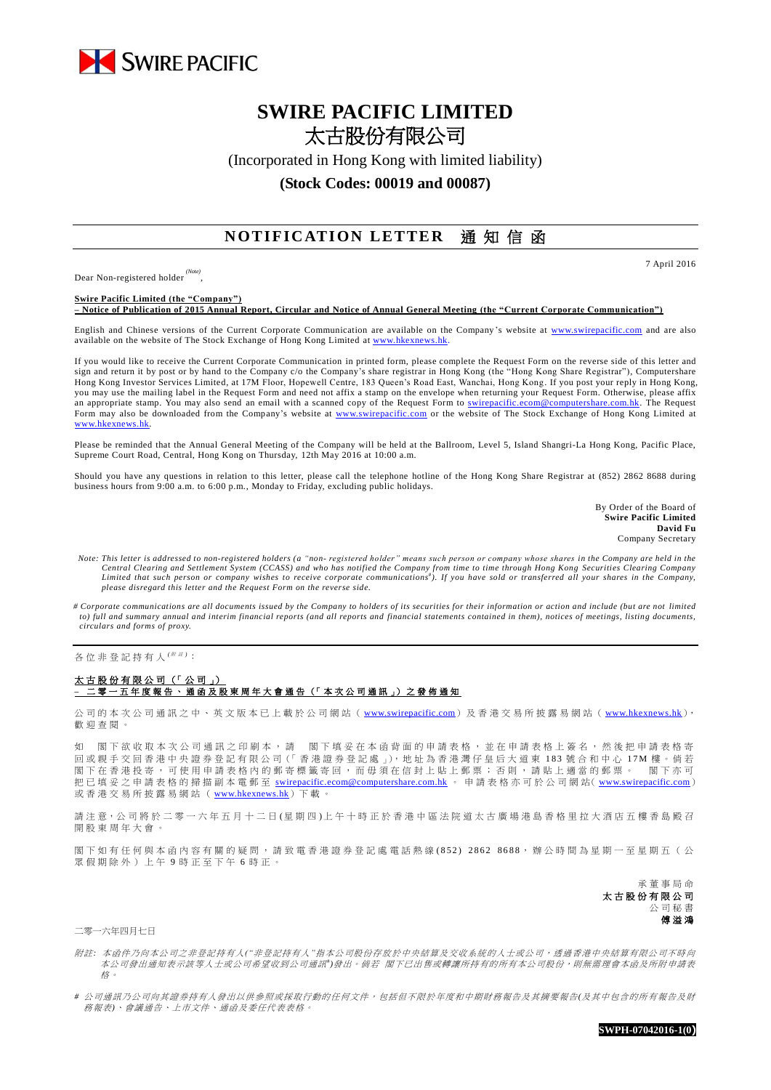

# **SWIRE PACIFIC LIMITED** 太古股份有限公司

(Incorporated in Hong Kong with limited liability)

### **(Stock Codes: 00019 and 00087)**

## **NOTIFICATION LETTER** 通知信函

Dear Non-registered holder *(Note)* , 7 April 2016

**Swire Pacific Limited (the "Company") – Notice of Publication of 2015 Annual Report, Circular and Notice of Annual General Meeting (the "Current Corporate Communication")**

English and Chinese versions of the Current Corporate Communication are available on the Company's website at [www.swirepacific.com](http://www.swirepacific.com/) and are also available on the website of The Stock Exchange of Hong Kong Limited at [www.hkexnews.hk.](http://www.hkexnews.hk/)

If you would like to receive the Current Corporate Communication in printed form, please complete the Request Form on the reverse side of this letter and sign and return it by post or by hand to the Company c/o the Company's share registrar in Hong Kong (the "Hong Kong Share Registrar"), Computershare Hong Kong Investor Services Limited, at 17M Floor, Hopewell Centre, 183 Queen's Road East, Wanchai, Hong Kong. If you post your reply in Hong Kong, you may use the mailing label in the Request Form and need not affix a stamp on the envelope when returning your Request Form. Otherwise, please affix an appropriate stamp. You may also send an email with a scanned copy of the Request Form to [swirepacific.ecom@computershare.com.hk.](mailto:swirepacific.ecom@computershare.com.hk) The Request Form may also be downloaded from the Company's website at [www.swirepacific.com](http://www.swirepacific.com/) or the website of The Stock Exchange of Hong Kong Limited at [www.hkexnews.hk.](http://www.hkexnews.hk/)

Please be reminded that the Annual General Meeting of the Company will be held at the Ballroom, Level 5, Island Shangri-La Hong Kong, Pacific Place, Supreme Court Road, Central, Hong Kong on Thursday, 12th May 2016 at 10:00 a.m.

Should you have any questions in relation to this letter, please call the telephone hotline of the Hong Kong Share Registrar at (852) 2862 8688 during business hours from 9:00 a.m. to 6:00 p.m., Monday to Friday, excluding public holidays.

> By Order of the Board of **Swire Pacific Limited David Fu** Company Secretary

- *Note: This letter is addressed to non-registered holders (a "non- registered holder" means such person or company whose shares in the Company are held in the*  Central Clearing and Settlement System (CCASS) and who has notified the Company from time to time through Hong Kong Securities Clearing Company<br>Limited that such person or company wishes to receive corporate communications *please disregard this letter and the Request Form on the reverse side.*
- *# Corporate communications are all documents issued by the Company to holders of its securities for their information or action and include (but are not limited to) full and summary annual and interim financial reports (and all reports and financial statements contained in them), notices of meetings, listing documents, circulars and forms of proxy.*

各位非登記持有人<sup>( / 注)</sup>:

#### 太古股份有限公司 (「公司」) **–** 二零一 五 年度報告 、通函 及 股 東 周 年 大 會 通 告 (「 本 次 公 司 通 訊 」) 之 發 佈 通 知

公司的本次公司通訊之中、英文版本已上載於公司網站 ([www.swirepacific.com](http://www.swirepacific.com/)) 及香港交易所披露易網站 ([www.hkexnews.hk](http://www.hkexnews.hk/)), 歡 迎 查閱。

如 閣下欲收取本次公司通訊之印刷本,請 閣下填妥在本函背面的申請表格,並在申請表格上簽名,然後把申請表格寄 回 或親手交回 香 港 中 央 證 券 登 記 有 限 公 司(「 香 港 證 券 登 記 處 」), 地 址 為 香 港 灣 仔 皇 后 大 道 東 1 8 3 號合和中心 1 7 M 樓 。 倘 若 閣下在香港投寄,可使用申請表格內的郵寄標籤寄回,而毋須在信封上貼上郵票;否則,請貼上適當的郵票。 閣下亦可 把已填妥之申請表格的掃描副本電郵至 [swirepacific.ecom@computershare.com.hk](mailto:swirepacific.ecom@computershare.com.hk) 。 申請表格亦可於公司網站( [www.swirepacific.com](http://www.swirepacific.com/)) 或香港交易所披露易網站 ( [www.hkexnews.hk](http://www.hkexnews.hk/)) 下載。

請注意,公司將於二零一六年五月十二日(星期四)上午十時正於香港中區法院道太古廣場港島香格里拉大酒店五樓香島殿召 開股東周年大會。

閣下如有任何與本函內容有關的疑問,請致電香港證券登記處電話熱線(852) 2862 8688,辦公時間為星期一至星期五(公 眾假期除外)上午 9 時正至下午 6 時正。

> 承董事 局 命 太古股份有限公司 公司秘書 傅溢鴻

二零一六年四月七日

附註*:* 本函件乃向本公司之非登記持有人*("*非登記持有人*"*指本公司股份存放於中央結算及交收系統的人士或公司,透過香港中央結算有限公司不時向 本公司發出通知表示該等人士或公司希望收到公司通訊<sup>+</sup>)發出。 倘若 閣下已出售或轉讓所持有的所有本公司股份,則無需理會本函及所附申請表 格。

*#* 公司通訊乃公司向其證券持有人發出以供參照或採取行動的任何文件,包括但不限於年度和中期財務報告及其摘要報告*(*及其中包含的所有報告及財 務報表*)*、會議通告、上市文件、通函及委任代表表格。

**SWPH-07042016-1(0)**